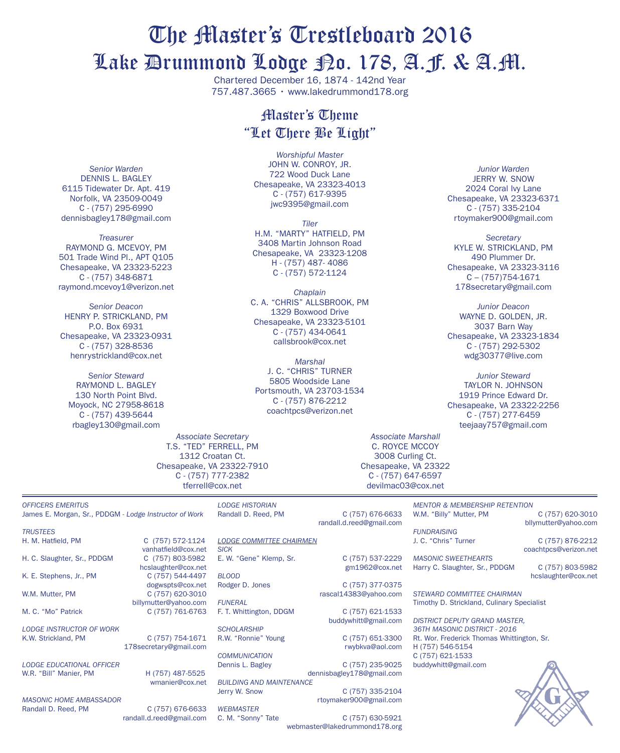# The Master's Trestleboard 2016 Lake Drummond Lodge No. 178, A.F. & A.M.

Chartered December 16, 1874 - 142nd Year 757.487.3665 • www.lakedrummond178.org

# Master's Theme "Let There Be Light"

*Worshipful Master* JOHN W. CONROY, JR. 722 Wood Duck Lane Chesapeake, VA 23323-4013 C - (757) 617-9395 jwc9395@gmail.com

*Tiler* h.m. "Marty" hatfield, PM 3408 Martin Johnson Road Chesapeake, VA 23323-1208 H - (757) 487- 4086 C - (757) 572-1124

*Chaplain* C. A. "Chris" Allsbrook, PM 1329 Boxwood Drive Chesapeake, VA 23323-5101 C - (757) 434-0641 callsbrook@cox.net

*Marshal* J. C. "Chris" Turner 5805 Woodside Lane Portsmouth, VA 23703-1534 C - (757) 876-2212 coachtpcs@verizon.net

*Junior Warden* **JERRY W. SNOW** 2024 Coral Ivy Lane Chesapeake, VA 23323-6371 C - (757) 335-2104 rtoymaker900@gmail.com

*Secretary* KYLE W. STRICKLAND, PM 490 Plummer Dr. Chesapeake, VA 23323-3116 C – (757)754-1671 178secretary@gmail.com

*Junior Deacon* wayne d. golden, jr. 3037 Barn Way Chesapeake, VA 23323-1834 C - (757) 292-5302 wdg30377@live.com

*Junior Steward* taylor n. johnson 1919 Prince Edward Dr. Chesapeake, VA 23322-2256 C - (757) 277-6459 teejaay757@gmail.com

*Associate Secretary* T.S. "TED" FERRELL, PM 1312 Croatan Ct. Chesapeake, VA 23322-7910 C - (757) 777-2382 tferrell@cox.net

*OFFICERS EMERITUS* James E. Morgan, Sr., PDDGM - *Lodge Instructor of Work*

*Senior Warden* DENNIS L. BAGLEY 6115 Tidewater Dr. Apt. 419 Norfolk, VA 23509-0049 C - (757) 295-6990 dennisbagley178@gmail.com *Treasurer* Raymond G. McEvoy, PM 501 Trade Wind Pl., APT Q105 Chesapeake, VA 23323-5223 C - (757) 348-6871 raymond.mcevoy1@verizon.net *Senior Deacon* HENRY P. STRICKLAND, PM P.O. Box 6931 Chesapeake, VA 23323-0931 C - (757) 328-8536 henrystrickland@cox.net *Senior Steward* RAYMOND L. BAGLEY 130 North Point Blvd. Moyock, NC 27958-8618 C - (757) 439-5644 rbagley130@gmail.com

*trustees* H. M. Hatfield, PM C (757) 572-1124

H. C. Slaughter, Sr., PDDGM

K. E. Stephens, Jr., PM C (757) 544-4497

W.M. Mutter, PM C (757) 620-3010

M. C. "Mo" Patrick C (757) 761-6763

*LODGE INSTRUCTOR OF WORK* K.W. Strickland, PM C (757) 754-1671

*lodge educational officer* W.R. "Bill" Manier, PM H (757) 487-5525

*Masonic home ambassador* Randall D. Reed, PM C (757) 676-6633

randall.d.reed@gmail.com

wmanier@cox.net

vanhatfield@cox.net<br>C (757) 803-5982

hcslaughter@cox.net

billymutter@yahoo.com

178secretary@gmail.com

dogwspts@cox.net

Randall D. Reed, PM C (757) 676-6633

*Lodge Historian*

*Lodge COMMITTEE CHAIRMEN SICK* E. W. "Gene" Klemp, Sr. C (757) 537-2229

*BLOOD* Rodger D. Jones C (757) 377-0375

*FUNERAL* F. T. Whittington, DDGM C (757) 621-1533

*SCHOLARSHIP* R.W. "Ronnie" Young C (757) 651-3300

*COMMUNICATION*

*BUILDING AND MAINTENANCE*

*WEBMASTER*

gm1962@cox.net

rascal14383@yahoo.com buddywhitt@gmail.com

rwybkva@aol.com

C (757) 235-9025 dennisbagley178@gmail.com

C (757) 335-2104 rtoymaker900@gmail.com

C. M. "Sonny" Tate C (757) 630-5921 webmaster@lakedrummond178.org

*MENTOR & MEMBERSHIP RETENTION* W.M. "Billy" Mutter, PM C (757) 620-3010 bllymutter@yahoo.com

*FUNDRAISING* J. C. "Chris" Turner C (757) 876-2212

Harry C. Slaughter, Sr., PDDGM C (757) 803-5982

hcslaughter@cox.net

Timothy D. Strickland, Culinary Specialist

*District deputy grand master, 36th masonic district - 2016* Rt. Wor. Frederick Thomas Whittington, Sr. H (757) 546-5154 C (757) 621-1533 buddywhitt@gmail.com



randall.d.reed@gmail.com

*Associate Marshall* C. ROYCE McCOY 3008 Curling Ct. Chesapeake, VA 23322 C - (757) 647-6597 devilmac03@cox.net

*MASONIC SWEETHEARTS*

coachtpcs@verizon.net

*STEWARD COMMITTEE CHAIRMAN*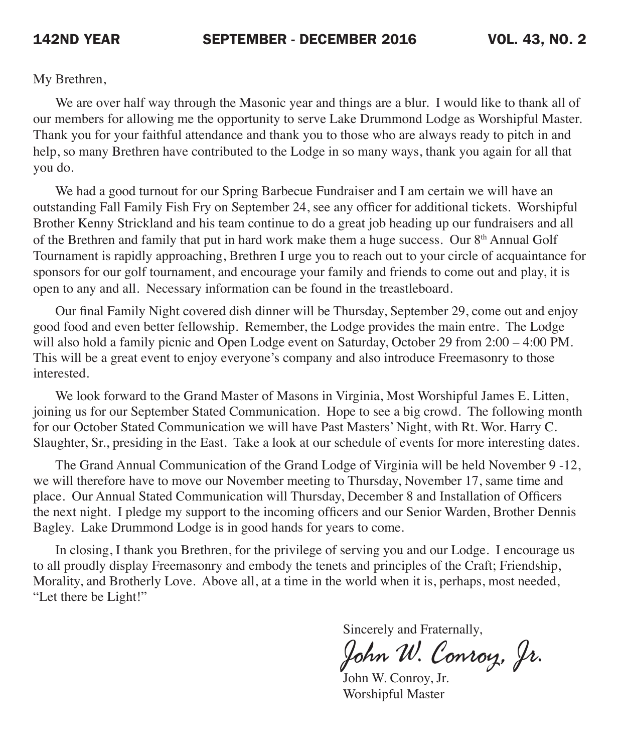My Brethren,

We are over half way through the Masonic year and things are a blur. I would like to thank all of our members for allowing me the opportunity to serve Lake Drummond Lodge as Worshipful Master. Thank you for your faithful attendance and thank you to those who are always ready to pitch in and help, so many Brethren have contributed to the Lodge in so many ways, thank you again for all that you do.

We had a good turnout for our Spring Barbecue Fundraiser and I am certain we will have an outstanding Fall Family Fish Fry on September 24, see any officer for additional tickets. Worshipful Brother Kenny Strickland and his team continue to do a great job heading up our fundraisers and all of the Brethren and family that put in hard work make them a huge success. Our  $8<sup>th</sup>$  Annual Golf Tournament is rapidly approaching, Brethren I urge you to reach out to your circle of acquaintance for sponsors for our golf tournament, and encourage your family and friends to come out and play, it is open to any and all. Necessary information can be found in the treastleboard.

Our final Family Night covered dish dinner will be Thursday, September 29, come out and enjoy good food and even better fellowship. Remember, the Lodge provides the main entre. The Lodge will also hold a family picnic and Open Lodge event on Saturday, October 29 from 2:00 – 4:00 PM. This will be a great event to enjoy everyone's company and also introduce Freemasonry to those interested.

We look forward to the Grand Master of Masons in Virginia, Most Worshipful James E. Litten, joining us for our September Stated Communication. Hope to see a big crowd. The following month for our October Stated Communication we will have Past Masters' Night, with Rt. Wor. Harry C. Slaughter, Sr., presiding in the East. Take a look at our schedule of events for more interesting dates.

The Grand Annual Communication of the Grand Lodge of Virginia will be held November 9 -12, we will therefore have to move our November meeting to Thursday, November 17, same time and place. Our Annual Stated Communication will Thursday, December 8 and Installation of Officers the next night. I pledge my support to the incoming officers and our Senior Warden, Brother Dennis Bagley. Lake Drummond Lodge is in good hands for years to come.

In closing, I thank you Brethren, for the privilege of serving you and our Lodge. I encourage us to all proudly display Freemasonry and embody the tenets and principles of the Craft; Friendship, Morality, and Brotherly Love. Above all, at a time in the world when it is, perhaps, most needed, "Let there be Light!"

Sincerely and Fraternally,

John W. Conroy, Jr.

 John W. Conroy, Jr. Worshipful Master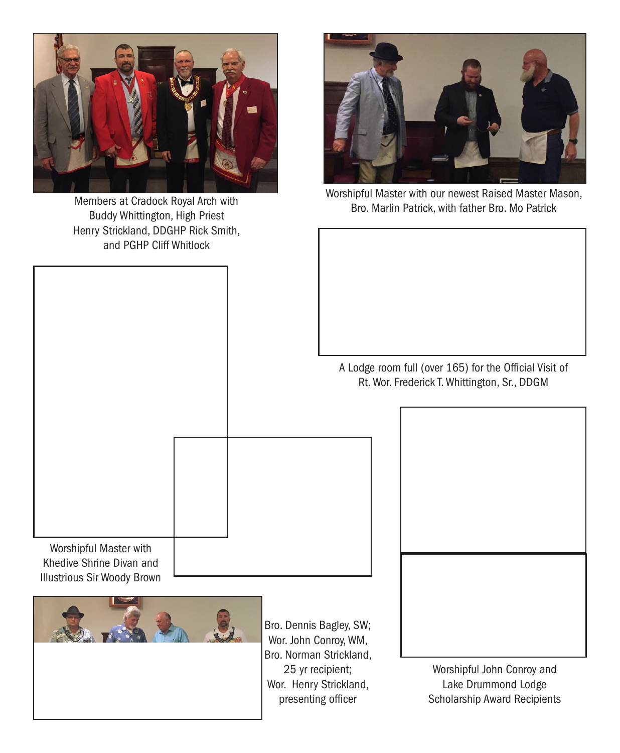

Members at Cradock Royal Arch with Buddy Whittington, High Priest Henry Strickland, DDGHP Rick Smith, and PGHP Cliff Whitlock



Worshipful Master with our newest Raised Master Mason, Bro. Marlin Patrick, with father Bro. Mo Patrick

A Lodge room full (over 165) for the Official Visit of Rt. Wor. Frederick T. Whittington, Sr., DDGM

Worshipful Master with Khedive Shrine Divan and Illustrious Sir Woody Brown

> Bro. Dennis Bagley, SW; Wor. John Conroy, WM, Bro. Norman Strickland, 25 yr recipient; Wor. Henry Strickland, presenting officer

Worshipful John Conroy and Lake Drummond Lodge Scholarship Award Recipients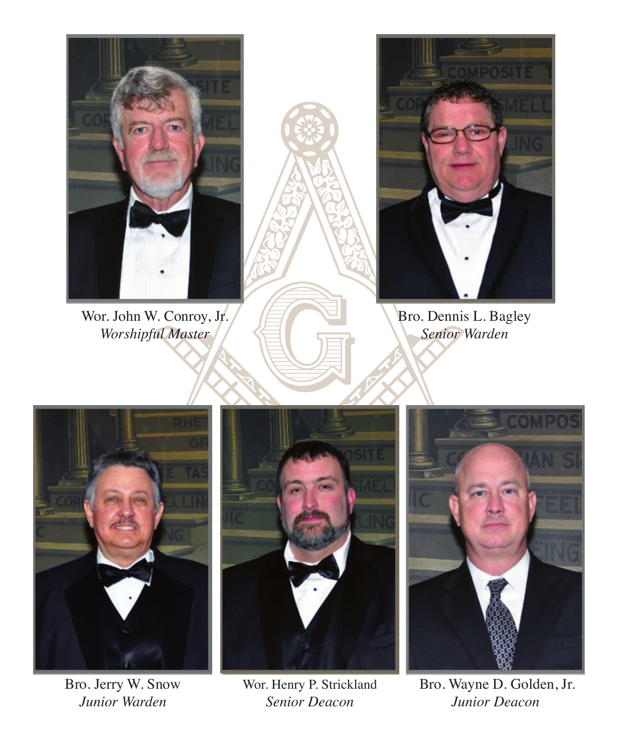

Wor. John W. Conroy, Jr.  $\left|\frac{1}{\sum_{i=1}^{n} x_i}\right|$  Bro. Dennis L. Bagley *Worshipful Master* /  $\leq$  **Senior Warden** 







*Junior Warden Senior Deacon Junior Deacon*



Bro. Jerry W. Snow Wor. Henry P. Strickland Bro. Wayne D. Golden, Jr.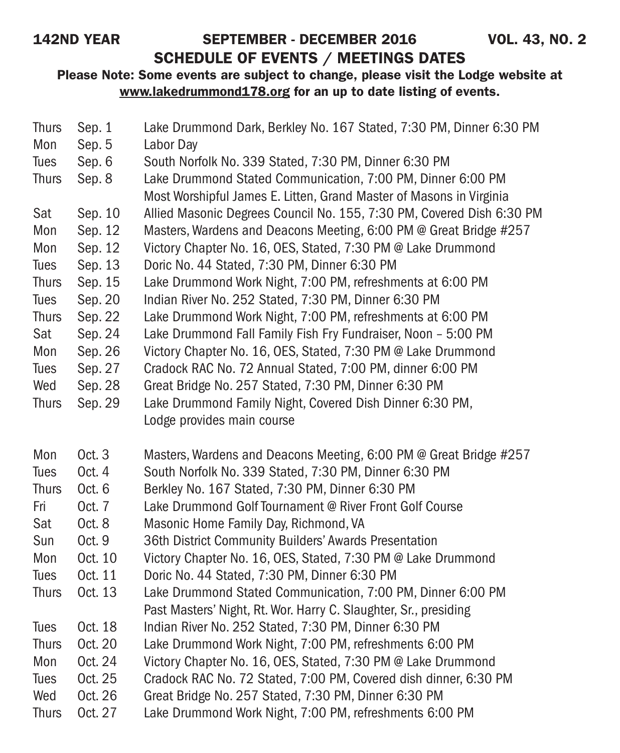# 142ND YEAR SEPTEMBER - DECEMBER 2016 VOL. 43, NO. 2 SCHEDULE OF EVENTS / MEETINGS DATES

| <b>Thurs</b> | Sep. 1  | Lake Drummond Dark, Berkley No. 167 Stated, 7:30 PM, Dinner 6:30 PM   |
|--------------|---------|-----------------------------------------------------------------------|
| Mon          | Sep. 5  | Labor Day                                                             |
| Tues         | Sep. 6  | South Norfolk No. 339 Stated, 7:30 PM, Dinner 6:30 PM                 |
| <b>Thurs</b> | Sep. 8  | Lake Drummond Stated Communication, 7:00 PM, Dinner 6:00 PM           |
|              |         | Most Worshipful James E. Litten, Grand Master of Masons in Virginia   |
| Sat          | Sep. 10 | Allied Masonic Degrees Council No. 155, 7:30 PM, Covered Dish 6:30 PM |
| Mon          | Sep. 12 | Masters, Wardens and Deacons Meeting, 6:00 PM @ Great Bridge #257     |
| Mon          | Sep. 12 | Victory Chapter No. 16, OES, Stated, 7:30 PM @ Lake Drummond          |
| <b>Tues</b>  | Sep. 13 | Doric No. 44 Stated, 7:30 PM, Dinner 6:30 PM                          |
| <b>Thurs</b> | Sep. 15 | Lake Drummond Work Night, 7:00 PM, refreshments at 6:00 PM            |
| Tues         | Sep. 20 | Indian River No. 252 Stated, 7:30 PM, Dinner 6:30 PM                  |
| <b>Thurs</b> | Sep. 22 | Lake Drummond Work Night, 7:00 PM, refreshments at 6:00 PM            |
| Sat          | Sep. 24 | Lake Drummond Fall Family Fish Fry Fundraiser, Noon - 5:00 PM         |
| Mon          | Sep. 26 | Victory Chapter No. 16, OES, Stated, 7:30 PM @ Lake Drummond          |
| <b>Tues</b>  | Sep. 27 | Cradock RAC No. 72 Annual Stated, 7:00 PM, dinner 6:00 PM             |
| Wed          | Sep. 28 | Great Bridge No. 257 Stated, 7:30 PM, Dinner 6:30 PM                  |
| <b>Thurs</b> | Sep. 29 | Lake Drummond Family Night, Covered Dish Dinner 6:30 PM,              |
|              |         | Lodge provides main course                                            |
| Mon          | Oct. 3  | Masters, Wardens and Deacons Meeting, 6:00 PM @ Great Bridge #257     |
| Tues         | Oct. 4  | South Norfolk No. 339 Stated, 7:30 PM, Dinner 6:30 PM                 |
| <b>Thurs</b> | Oct. 6  | Berkley No. 167 Stated, 7:30 PM, Dinner 6:30 PM                       |
| Fri          | Oct. 7  | Lake Drummond Golf Tournament @ River Front Golf Course               |
| Sat          | Oct. 8  | Masonic Home Family Day, Richmond, VA                                 |
| Sun          | Oct. 9  | 36th District Community Builders' Awards Presentation                 |
| Mon          | Oct. 10 | Victory Chapter No. 16, OES, Stated, 7:30 PM @ Lake Drummond          |
| Tues         | Oct. 11 | Doric No. 44 Stated, 7:30 PM, Dinner 6:30 PM                          |
| <b>Thurs</b> | Oct. 13 | Lake Drummond Stated Communication, 7:00 PM, Dinner 6:00 PM           |
|              |         | Past Masters' Night, Rt. Wor. Harry C. Slaughter, Sr., presiding      |
| Tues         | Oct. 18 | Indian River No. 252 Stated, 7:30 PM, Dinner 6:30 PM                  |
| <b>Thurs</b> | Oct. 20 | Lake Drummond Work Night, 7:00 PM, refreshments 6:00 PM               |
| Mon          | Oct. 24 | Victory Chapter No. 16, OES, Stated, 7:30 PM @ Lake Drummond          |
| <b>Tues</b>  | Oct. 25 | Cradock RAC No. 72 Stated, 7:00 PM, Covered dish dinner, 6:30 PM      |
| Wed          | Oct. 26 | Great Bridge No. 257 Stated, 7:30 PM, Dinner 6:30 PM                  |
| <b>Thurs</b> | Oct. 27 | Lake Drummond Work Night, 7:00 PM, refreshments 6:00 PM               |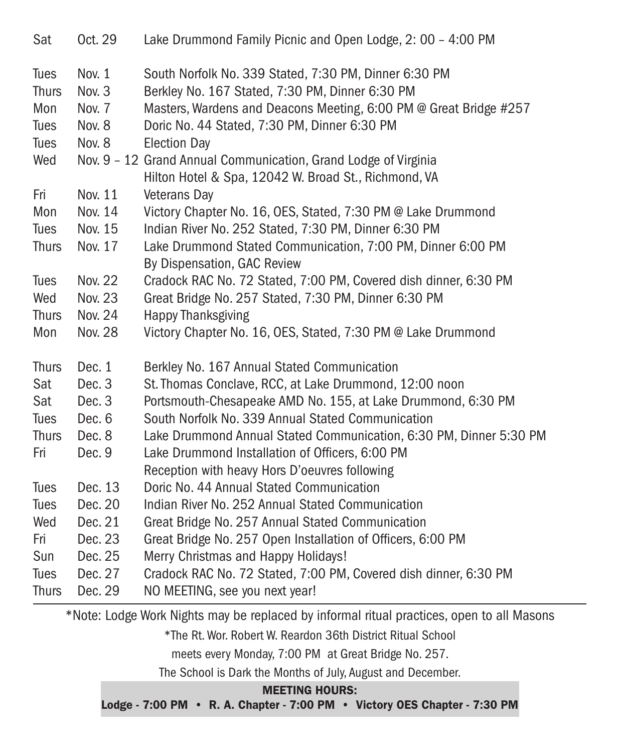| Sat          | Oct. 29        | Lake Drummond Family Picnic and Open Lodge, 2: 00 - 4:00 PM                                |
|--------------|----------------|--------------------------------------------------------------------------------------------|
| Tues         | Nov. 1         | South Norfolk No. 339 Stated, 7:30 PM, Dinner 6:30 PM                                      |
| <b>Thurs</b> | Nov. 3         | Berkley No. 167 Stated, 7:30 PM, Dinner 6:30 PM                                            |
| Mon          | Nov. 7         | Masters, Wardens and Deacons Meeting, 6:00 PM @ Great Bridge #257                          |
| <b>Tues</b>  | Nov. 8         | Doric No. 44 Stated, 7:30 PM, Dinner 6:30 PM                                               |
| Tues         | Nov. 8         | <b>Election Day</b>                                                                        |
| Wed          |                | Nov. 9 - 12 Grand Annual Communication, Grand Lodge of Virginia                            |
|              |                | Hilton Hotel & Spa, 12042 W. Broad St., Richmond, VA                                       |
| Fri          | Nov. 11        | Veterans Day                                                                               |
| Mon          | Nov. 14        | Victory Chapter No. 16, OES, Stated, 7:30 PM @ Lake Drummond                               |
| Tues         | Nov. 15        | Indian River No. 252 Stated, 7:30 PM, Dinner 6:30 PM                                       |
| <b>Thurs</b> | Nov. 17        | Lake Drummond Stated Communication, 7:00 PM, Dinner 6:00 PM<br>By Dispensation, GAC Review |
| <b>Tues</b>  | <b>Nov. 22</b> | Cradock RAC No. 72 Stated, 7:00 PM, Covered dish dinner, 6:30 PM                           |
| Wed          | <b>Nov. 23</b> | Great Bridge No. 257 Stated, 7:30 PM, Dinner 6:30 PM                                       |
| <b>Thurs</b> | Nov. 24        | <b>Happy Thanksgiving</b>                                                                  |
| Mon          | <b>Nov. 28</b> | Victory Chapter No. 16, OES, Stated, 7:30 PM @ Lake Drummond                               |
| <b>Thurs</b> | Dec. 1         | Berkley No. 167 Annual Stated Communication                                                |
| Sat          | Dec. 3         | St. Thomas Conclave, RCC, at Lake Drummond, 12:00 noon                                     |
| Sat          | Dec. 3         | Portsmouth-Chesapeake AMD No. 155, at Lake Drummond, 6:30 PM                               |
| Tues         | Dec. 6         | South Norfolk No. 339 Annual Stated Communication                                          |
| <b>Thurs</b> | Dec. 8         | Lake Drummond Annual Stated Communication, 6:30 PM, Dinner 5:30 PM                         |
| Fri          | Dec. 9         | Lake Drummond Installation of Officers, 6:00 PM                                            |
|              |                | Reception with heavy Hors D'oeuvres following                                              |
| <b>Tues</b>  | Dec. 13        | Doric No. 44 Annual Stated Communication                                                   |
| <b>Tues</b>  | Dec. 20        | Indian River No. 252 Annual Stated Communication                                           |
| Wed          | Dec. 21        | Great Bridge No. 257 Annual Stated Communication                                           |
| Fri          | Dec. 23        | Great Bridge No. 257 Open Installation of Officers, 6:00 PM                                |
| Sun          | Dec. 25        | Merry Christmas and Happy Holidays!                                                        |
| Tues         | Dec. 27        | Cradock RAC No. 72 Stated, 7:00 PM, Covered dish dinner, 6:30 PM                           |
| <b>Thurs</b> | Dec. 29        | NO MEETING, see you next year!                                                             |

\*Note: Lodge Work Nights may be replaced by informal ritual practices, open to all Masons

\*The Rt. Wor. Robert W. Reardon 36th District Ritual School

meets every Monday, 7:00 PM at Great Bridge No. 257.

The School is Dark the Months of July, August and December.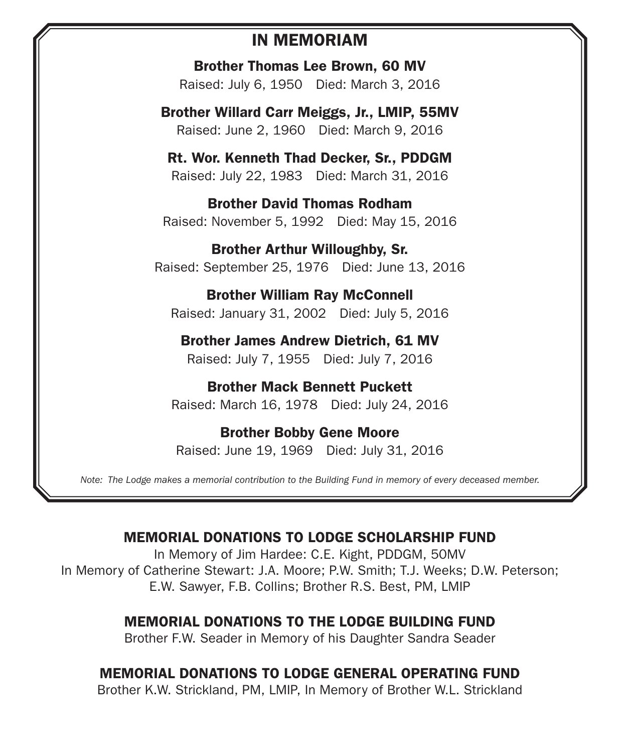# IN MEMORIAM

Brother Thomas Lee Brown, 60 MV Raised: July 6, 1950 Died: March 3, 2016

Brother Willard Carr Meiggs, Jr., LMIP, 55MV Raised: June 2, 1960 Died: March 9, 2016

Rt. Wor. Kenneth Thad Decker, Sr., PDDGM Raised: July 22, 1983 Died: March 31, 2016

Brother David Thomas Rodham Raised: November 5, 1992 Died: May 15, 2016

Brother Arthur Willoughby, Sr. Raised: September 25, 1976 Died: June 13, 2016

Brother William Ray McConnell Raised: January 31, 2002 Died: July 5, 2016

Brother James Andrew Dietrich, 61 MV Raised: July 7, 1955 Died: July 7, 2016

Brother Mack Bennett Puckett Raised: March 16, 1978 Died: July 24, 2016

Brother Bobby Gene Moore Raised: June 19, 1969 Died: July 31, 2016

*Note: The Lodge makes a memorial contribution to the Building Fund in memory of every deceased member.*

# MEMORIAL DONATIONS TO LODGE SCHOLARSHIP FUND

In Memory of Jim Hardee: C.E. Kight, PDDGM, 50MV In Memory of Catherine Stewart: J.A. Moore; P.W. Smith; T.J. Weeks; D.W. Peterson; E.W. Sawyer, F.B. Collins; Brother R.S. Best, PM, LMIP

# MEMORIAL DONATIONS TO THE LODGE BUILDING FUND

Brother F.W. Seader in Memory of his Daughter Sandra Seader

# MEMORIAL DONATIONS TO LODGE GENERAL OPERATING FUND

Brother K.W. Strickland, PM, LMIP, In Memory of Brother W.L. Strickland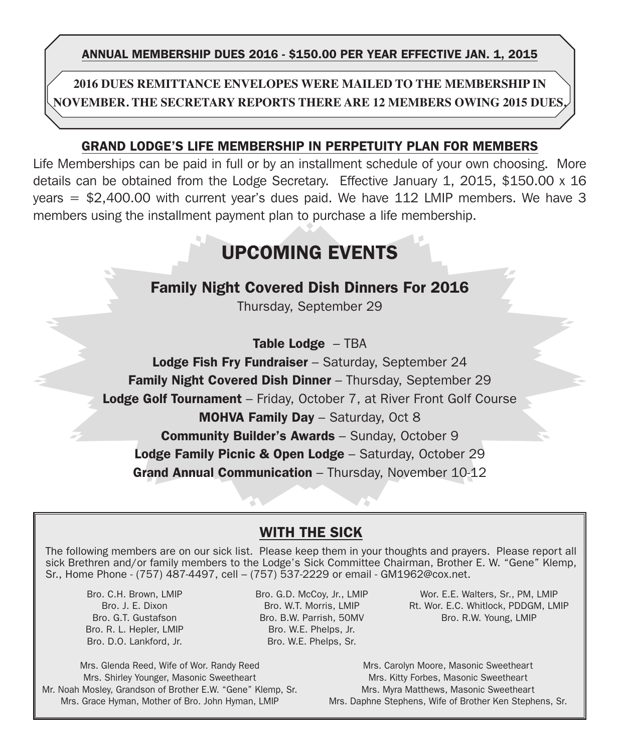ANNUAL MEMBERSHIP DUES 2016 - \$150.00 PER YEAR EFFECTIVE jan. 1, 2015

**2016 Dues Remittance Envelopes were mailed to the membership in November. The Secretary reports there are 12 members owing 2015 dues.**

### GRAND LODGE'S LIFE MEMBERSHIP IN PERPETUITY PLAN FOR MEMBERS

Life Memberships can be paid in full or by an installment schedule of your own choosing. More details can be obtained from the Lodge Secretary. Effective January 1, 2015, \$150.00 x 16 years  $= $2,400.00$  with current year's dues paid. We have 112 LMIP members. We have 3 members using the installment payment plan to purchase a life membership.

# UPCOMING EVENTS

# Family Night Covered Dish Dinners For 2016

Thursday, September 29

### Table Lodge - TBA

Lodge Fish Fry Fundraiser - Saturday, September 24 Family Night Covered Dish Dinner - Thursday, September 29

**Lodge Golf Tournament** – Friday, October 7, at River Front Golf Course

MOHVA Family Day – Saturday, Oct 8

Community Builder's Awards – Sunday, October 9

Lodge Family Picnic & Open Lodge - Saturday, October 29

Grand Annual Communication - Thursday, November 10-12

## WITH THE SICK

The following members are on our sick list. Please keep them in your thoughts and prayers. Please report all sick Brethren and/or family members to the Lodge's Sick Committee Chairman, Brother E. W. "Gene" Klemp, Sr., Home Phone - (757) 487-4497, cell – (757) 537-2229 or email - GM1962@cox.net.

Bro. C.H. Brown, LMIP Bro. J. E. Dixon Bro. G.T. Gustafson Bro. R. L. Hepler, LMIP Bro. D.O. Lankford, Jr.

Bro. G.D. McCoy, Jr., LMIP Bro. W.T. Morris, LMIP Bro. B.W. Parrish, 50MV Bro. W.E. Phelps, Jr. Bro. W.E. Phelps, Sr.

Wor. E.E. Walters, Sr., PM, LMIP Rt. Wor. E.C. Whitlock, PDDGM, LMIP Bro. R.W. Young, LMIP

Mrs. Glenda Reed, Wife of Wor. Randy Reed Mrs. Shirley Younger, Masonic Sweetheart Mr. Noah Mosley, Grandson of Brother E.W. "Gene" Klemp, Sr. Mrs. Grace Hyman, Mother of Bro. John Hyman, LMIP

Mrs. Carolyn Moore, Masonic Sweetheart Mrs. Kitty Forbes, Masonic Sweetheart Mrs. Myra Matthews, Masonic Sweetheart Mrs. Daphne Stephens, Wife of Brother Ken Stephens, Sr.